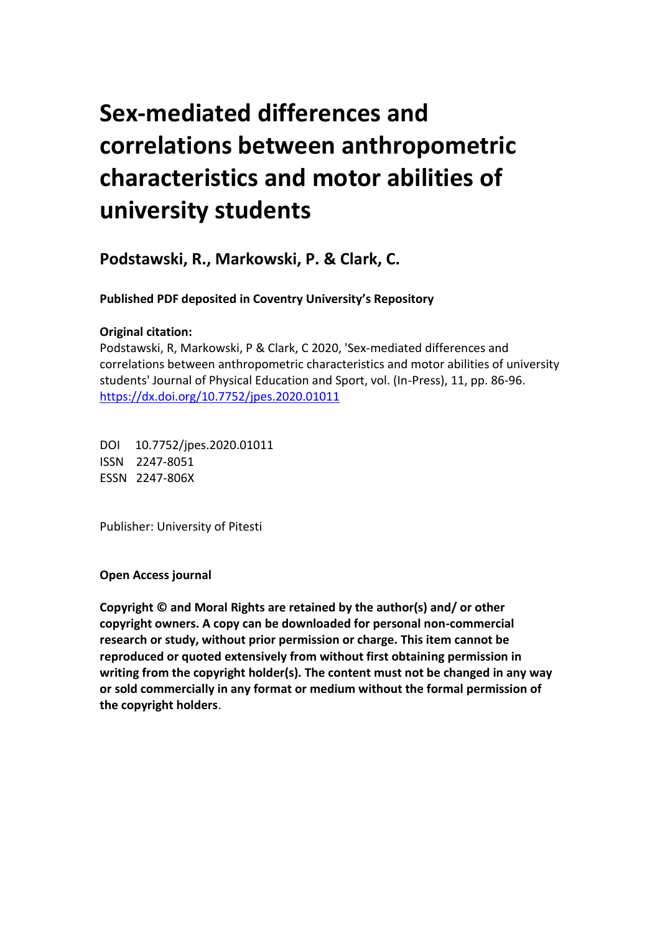# **Sex-mediated differences and correlations between anthropometric characteristics and motor abilities of university students**

**Podstawski, R., Markowski, P. & Clark, C.** 

 **Published PDF deposited in Coventry University's Repository** 

## **Original citation:**

 Podstawski, R, Markowski, P & Clark, C 2020, 'Sex-mediated differences and correlations between anthropometric characteristics and motor abilities of university students' Journal of Physical Education and Sport, vol. (In-Press), 11, pp. 86-96. https://dx.doi.org/10.7752/jpes.2020.01011

 DOI 10.7752/jpes.2020.01011 ISSN 2247-8051 ESSN 2247-806X

Publisher: University of Pitesti

**Open Access journal** 

 **Copyright © and Moral Rights are retained by the author(s) and/ or other copyright owners. A copy can be downloaded for personal non-commercial research or study, without prior permission or charge. This item cannot be reproduced or quoted extensively from without first obtaining permission in writing from the copyright holder(s). The content must not be changed in any way or sold commercially in any format or medium without the formal permission of the copyright holders**.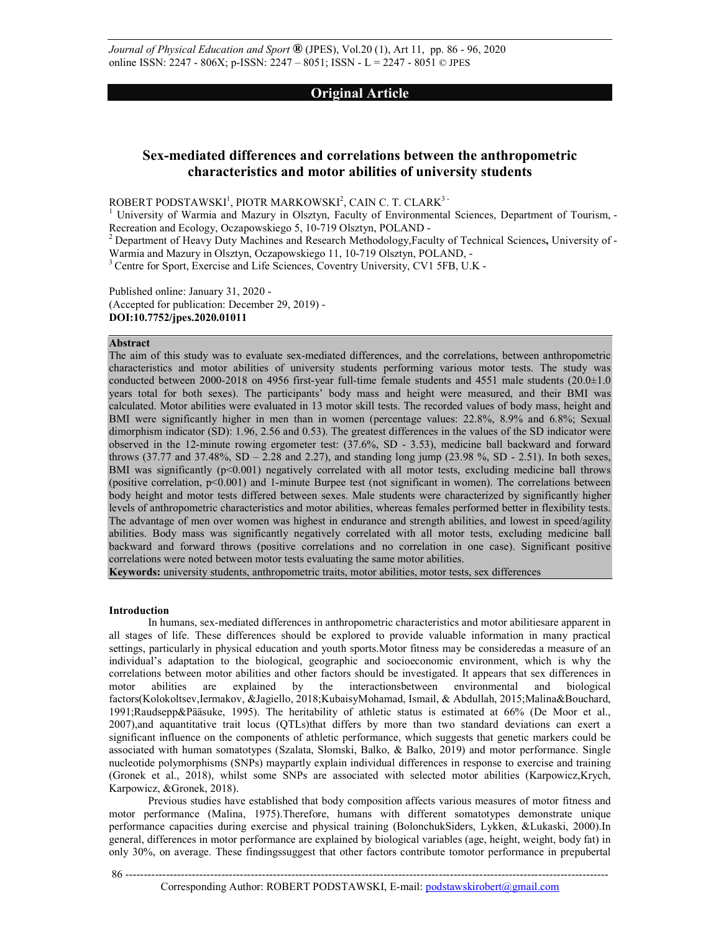*Journal of Physical Education and Sport* **®** (JPES), Vol.20 (1), Art 11, pp. 86 - 96, 2020 online ISSN: 2247 - 806X; p-ISSN: 2247 – 8051; ISSN - L = 2247 - 8051 © JPES

### **Original Article**

## **Sex-mediated differences and correlations between the anthropometric characteristics and motor abilities of university students**

 $\rm{ROBERT~PODSTAWSKI}^! , \rm{PIOTR~MARKOWSKI}^2 , \rm{CAIN~C.~T.~CLARK}^3$  -

<sup>1</sup> University of Warmia and Mazury in Olsztyn, Faculty of Environmental Sciences, Department of Tourism, -Recreation and Ecology, Oczapowskiego 5, 10-719 Olsztyn, POLAND

Recreation and Ecology, Oczapowskiego 5, 10-719 Olsztyn, POLAND -<br><sup>2</sup> Department of Heavy Duty Machines and Research Methodology,Faculty of Technical Sciences, University of -Warmia and Mazury in Olsztyn, Oczapowskiego 11, 10-719 Olsztyn, POLAND,

Warmia and Mazury in Olsztyn, Oczapowskiego 11, 10-719 Olsztyn, POLAND, -<br><sup>3</sup> Centre for Sport, Exercise and Life Sciences, Coventry University, CV1 5FB, U.K -

 Published online: January 31, 2020 (Accepted for publication: December 29, 2019) **DOI:10.7752/jpes.2020.01011** 

#### **Abstract**

 The aim of this study was to evaluate sex-mediated differences, and the correlations, between anthropometric characteristics and motor abilities of university students performing various motor tests. The study was conducted between 2000-2018 on 4956 first-year full-time female students and 4551 male students (20.0±1.0 years total for both sexes). The participants' body mass and height were measured, and their BMI was calculated. Motor abilities were evaluated in 13 motor skill tests. The recorded values of body mass, height and BMI were significantly higher in men than in women (percentage values: 22.8%, 8.9% and 6.8%; Sexual dimorphism indicator (SD): 1.96, 2.56 and 0.53). The greatest differences in the values of the SD indicator were observed in the 12-minute rowing ergometer test: (37.6%, SD - 3.53), medicine ball backward and forward throws (37.77 and 37.48%, SD – 2.28 and 2.27), and standing long jump (23.98 %, SD - 2.51). In both sexes, BMI was significantly (p<0.001) negatively correlated with all motor tests, excluding medicine ball throws (positive correlation, p<0.001) and 1-minute Burpee test (not significant in women). The correlations between body height and motor tests differed between sexes. Male students were characterized by significantly higher levels of anthropometric characteristics and motor abilities, whereas females performed better in flexibility tests. The advantage of men over women was highest in endurance and strength abilities, and lowest in speed/agility abilities. Body mass was significantly negatively correlated with all motor tests, excluding medicine ball backward and forward throws (positive correlations and no correlation in one case). Significant positive correlations were noted between motor tests evaluating the same motor abilities.

**Keywords:** university students, anthropometric traits, motor abilities, motor tests, sex differences

#### **Introduction**

 In humans, sex-mediated differences in anthropometric characteristics and motor abilitiesare apparent in all stages of life. These differences should be explored to provide valuable information in many practical settings, particularly in physical education and youth sports.Motor fitness may be consideredas a measure of an individual's adaptation to the biological, geographic and socioeconomic environment, which is why the correlations between motor abilities and other factors should be investigated. It appears that sex differences in motor factors(Kolokoltsev,Iermakov, &Jagiello, 2018;KubaisyMohamad, Ismail, & Abdullah, 2015;Malina&Bouchard, 1991;Raudsepp&Pääsuke, 1995). The heritability of athletic status is estimated at 66% (De Moor et al., 2007),and aquantitative trait locus (QTLs)that differs by more than two standard deviations can exert a significant influence on the components of athletic performance, which suggests that genetic markers could be associated with human somatotypes (Szalata, Słomski, Balko, & Balko, 2019) and motor performance. Single nucleotide polymorphisms (SNPs) maypartly explain individual differences in response to exercise and training (Gronek et al., 2018), whilst some SNPs are associated with selected motor abilities (Karpowicz,Krych, Karpowicz, &Gronek, 2018). motor abilities are explained by the interactionsbetween environmental and biological

 Previous studies have established that body composition affects various measures of motor fitness and motor performance (Malina, 1975).Therefore, humans with different somatotypes demonstrate unique performance capacities during exercise and physical training (BolonchukSiders, Lykken, &Lukaski, 2000).In general, differences in motor performance are explained by biological variables (age, height, weight, body fat) in only 30%, on average. These findingssuggest that other factors contribute tomotor performance in prepubertal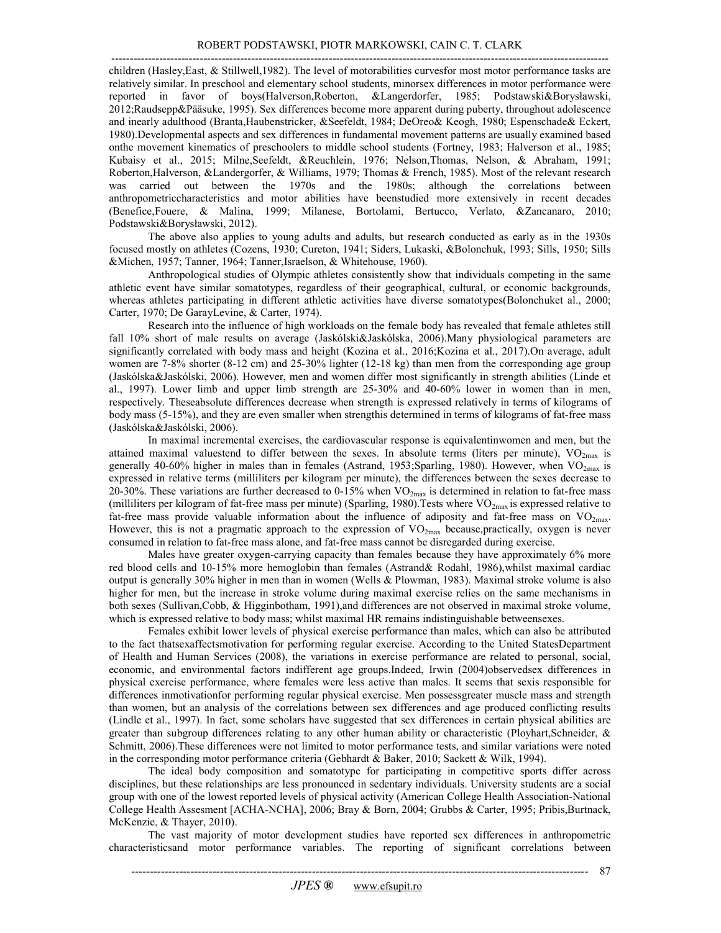---------------------------------------------------------------------------------------------------------------------------------------

 children (Hasley,East, & Stillwell,1982). The level of motorabilities curvesfor most motor performance tasks are relatively similar. In preschool and elementary school students, minorsex differences in motor performance were reported in favor of boys(Halverson,Roberton, &Langerdorfer, 1985; Podstawski&Borysławski, 2012;Raudsepp&Pääsuke, 1995). Sex differences become more apparent during puberty, throughout adolescence and inearly adulthood (Branta,Haubenstricker, &Seefeldt, 1984; DeOreo& Keogh, 1980; Espenschade& Eckert, 1980).Developmental aspects and sex differences in fundamental movement patterns are usually examined based onthe movement kinematics of preschoolers to middle school students (Fortney, 1983; Halverson et al., 1985; Kubaisy et al., 2015; Milne,Seefeldt, &Reuchlein, 1976; Nelson,Thomas, Nelson, & Abraham, 1991; Roberton,Halverson, &Landergorfer, & Williams, 1979; Thomas & French, 1985). Most of the relevant research was carried out between the 1970s and the 1980s; although the correlations between anthropometriccharacteristics and motor abilities have beenstudied more extensively in recent decades (Benefice,Fouere, & Malina, 1999; Milanese, Bortolami, Bertucco, Verlato, &Zancanaro, 2010; Podstawski&Borysławski, 2012).

 The above also applies to young adults and adults, but research conducted as early as in the 1930s focused mostly on athletes (Cozens, 1930; Cureton, 1941; Siders, Lukaski, &Bolonchuk, 1993; Sills, 1950; Sills &Michen, 1957; Tanner, 1964; Tanner,Israelson, & Whitehouse, 1960).

 Anthropological studies of Olympic athletes consistently show that individuals competing in the same athletic event have similar somatotypes, regardless of their geographical, cultural, or economic backgrounds, whereas athletes participating in different athletic activities have diverse somatotypes(Bolonchuket al., 2000; Carter, 1970; De GarayLevine, & Carter, 1974).

 Research into the influence of high workloads on the female body has revealed that female athletes still fall 10% short of male results on average (Jaskólski&Jaskólska, 2006).Many physiological parameters are significantly correlated with body mass and height (Kozina et al., 2016;Kozina et al., 2017).On average, adult women are 7-8% shorter (8-12 cm) and 25-30% lighter (12-18 kg) than men from the corresponding age group (Jaskólska&Jaskólski, 2006). However, men and women differ most significantly in strength abilities (Linde et al., 1997). Lower limb and upper limb strength are 25-30% and 40-60% lower in women than in men, respectively. Theseabsolute differences decrease when strength is expressed relatively in terms of kilograms of body mass (5-15%), and they are even smaller when strengthis determined in terms of kilograms of fat-free mass (Jaskólska&Jaskólski, 2006).

 In maximal incremental exercises, the cardiovascular response is equivalentinwomen and men, but the attained maximal valuestend to differ between the sexes. In absolute terms (liters per minute),  $VO_{2max}$  is generally 40-60% higher in males than in females (Astrand, 1953;Sparling, 1980). However, when  $VO_{2max}$  is expressed in relative terms (milliliters per kilogram per minute), the differences between the sexes decrease to 20-30%. These variations are further decreased to 0-15% when  $VO_{2max}$  is determined in relation to fat-free mass (milliliters per kilogram of fat-free mass per minute) (Sparling, 1980). Tests where  $VO_{2max}$  is expressed relative to fat-free mass provide valuable information about the influence of adiposity and fat-free mass on  $VO_{2max}$ . However, this is not a pragmatic approach to the expression of  $VO_{2max}$  because,practically, oxygen is never consumed in relation to fat-free mass alone, and fat-free mass cannot be disregarded during exercise.

 Males have greater oxygen-carrying capacity than females because they have approximately 6% more red blood cells and 10-15% more hemoglobin than females (Astrand& Rodahl, 1986),whilst maximal cardiac output is generally 30% higher in men than in women (Wells & Plowman, 1983). Maximal stroke volume is also higher for men, but the increase in stroke volume during maximal exercise relies on the same mechanisms in both sexes (Sullivan,Cobb, & Higginbotham, 1991),and differences are not observed in maximal stroke volume, which is expressed relative to body mass; whilst maximal HR remains indistinguishable betweensexes.

 Females exhibit lower levels of physical exercise performance than males, which can also be attributed to the fact thatsexaffectsmotivation for performing regular exercise. According to the United StatesDepartment of Health and Human Services (2008), the variations in exercise performance are related to personal, social, economic, and environmental factors indifferent age groups.Indeed, Irwin (2004)observedsex differences in physical exercise performance, where females were less active than males. It seems that sexis responsible for differences inmotivationfor performing regular physical exercise. Men possessgreater muscle mass and strength than women, but an analysis of the correlations between sex differences and age produced conflicting results (Lindle et al., 1997). In fact, some scholars have suggested that sex differences in certain physical abilities are greater than subgroup differences relating to any other human ability or characteristic (Ployhart,Schneider, & Schmitt, 2006).These differences were not limited to motor performance tests, and similar variations were noted in the corresponding motor performance criteria (Gebhardt & Baker, 2010; Sackett & Wilk, 1994).

 The ideal body composition and somatotype for participating in competitive sports differ across disciplines, but these relationships are less pronounced in sedentary individuals. University students are a social group with one of the lowest reported levels of physical activity (American College Health Association-National College Health Assesment [ACHA-NCHA], 2006; Bray & Born, 2004; Grubbs & Carter, 1995; Pribis,Burtnack, McKenzie, & Thayer, 2010).

 The vast majority of motor development studies have reported sex differences in anthropometric characteristicsand motor performance variables. The reporting of significant correlations between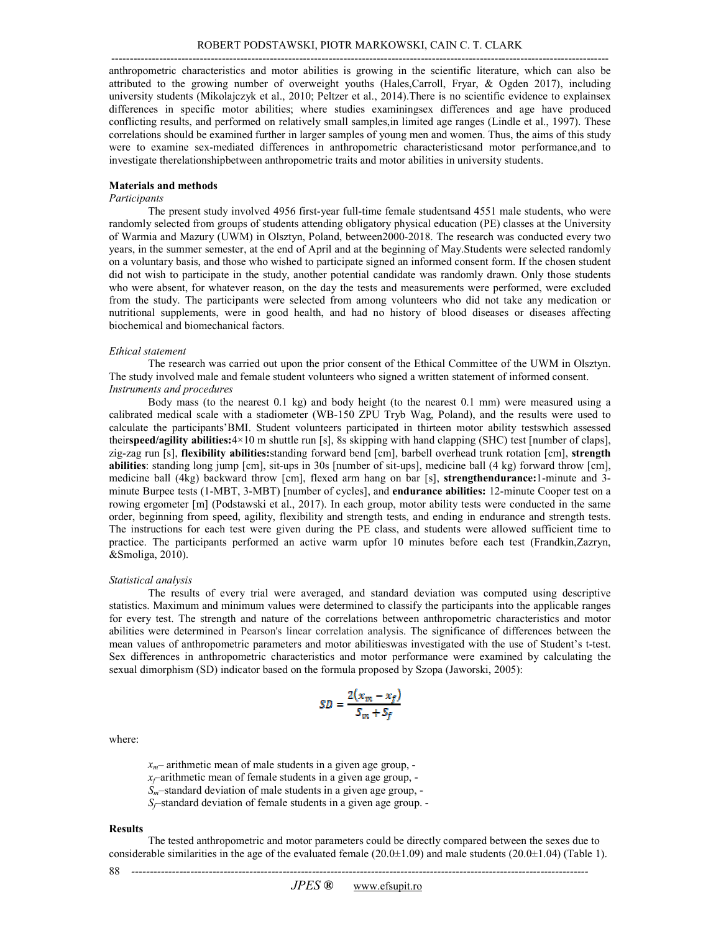anthropometric characteristics and motor abilities is growing in the scientific literature, which can also be attributed to the growing number of overweight youths (Hales,Carroll, Fryar, & Ogden 2017), including university students (Mikolajczyk et al., 2010; Peltzer et al., 2014).There is no scientific evidence to explainsex differences in specific motor abilities; where studies examiningsex differences and age have produced conflicting results, and performed on relatively small samples,in limited age ranges (Lindle et al., 1997). These correlations should be examined further in larger samples of young men and women. Thus, the aims of this study were to examine sex-mediated differences in anthropometric characteristicsand motor performance,and to investigate therelationshipbetween anthropometric traits and motor abilities in university students.

#### **Materials and methods**

#### *Participants*

 The present study involved 4956 first-year full-time female studentsand 4551 male students, who were randomly selected from groups of students attending obligatory physical education (PE) classes at the University of Warmia and Mazury (UWM) in Olsztyn, Poland, between2000-2018. The research was conducted every two years, in the summer semester, at the end of April and at the beginning of May.Students were selected randomly on a voluntary basis, and those who wished to participate signed an informed consent form. If the chosen student did not wish to participate in the study, another potential candidate was randomly drawn. Only those students who were absent, for whatever reason, on the day the tests and measurements were performed, were excluded from the study. The participants were selected from among volunteers who did not take any medication or nutritional supplements, were in good health, and had no history of blood diseases or diseases affecting biochemical and biomechanical factors.

#### *Ethical statement*

 The study involved male and female student volunteers who signed a written statement of informed consent.  *Instruments and procedures*  The research was carried out upon the prior consent of the Ethical Committee of the UWM in Olsztyn.

 Body mass (to the nearest 0.1 kg) and body height (to the nearest 0.1 mm) were measured using a calibrated medical scale with a stadiometer (WB-150 ZPU Tryb Wag, Poland), and the results were used to calculate the participants'BMI. Student volunteers participated in thirteen motor ability testswhich assessed their**speed/agility abilities:**4×10 m shuttle run [s], 8s skipping with hand clapping (SHC) test [number of claps], zig-zag run [s], **flexibility abilities:**standing forward bend [cm], barbell overhead trunk rotation [cm], **strength abilities**: standing long jump [cm], sit-ups in 30s [number of sit-ups], medicine ball (4 kg) forward throw [cm], medicine ball (4kg) backward throw [cm], flexed arm hang on bar [s], **strengthendurance:**1-minute and 3- minute Burpee tests (1-MBT, 3-MBT) [number of cycles], and **endurance abilities:** 12-minute Cooper test on a rowing ergometer [m] (Podstawski et al., 2017). In each group, motor ability tests were conducted in the same order, beginning from speed, agility, flexibility and strength tests, and ending in endurance and strength tests. The instructions for each test were given during the PE class, and students were allowed sufficient time to practice. The participants performed an active warm upfor 10 minutes before each test (Frandkin,Zazryn, &Smoliga, 2010).

#### *Statistical analysis*

 The results of every trial were averaged, and standard deviation was computed using descriptive statistics. Maximum and minimum values were determined to classify the participants into the applicable ranges for every test. The strength and nature of the correlations between anthropometric characteristics and motor abilities were determined in Pearson's linear correlation analysis. The significance of differences between the mean values of anthropometric parameters and motor abilitieswas investigated with the use of Student's t-test. Sex differences in anthropometric characteristics and motor performance were examined by calculating the sexual dimorphism (SD) indicator based on the formula proposed by Szopa (Jaworski, 2005):

$$
SD = \frac{2(x_m - x_f)}{S_m + S_f}
$$

where:

 *xf*–arithmetic mean of female students in a given age group, *Sm*–standard deviation of male students in a given age group, *Sf*–standard deviation of female students in a given age group. *xm*– arithmetic mean of male students in a given age group,

#### **Results**

 The tested anthropometric and motor parameters could be directly compared between the sexes due to considerable similarities in the age of the evaluated female  $(20.0\pm1.09)$  and male students  $(20.0\pm1.04)$  (Table 1).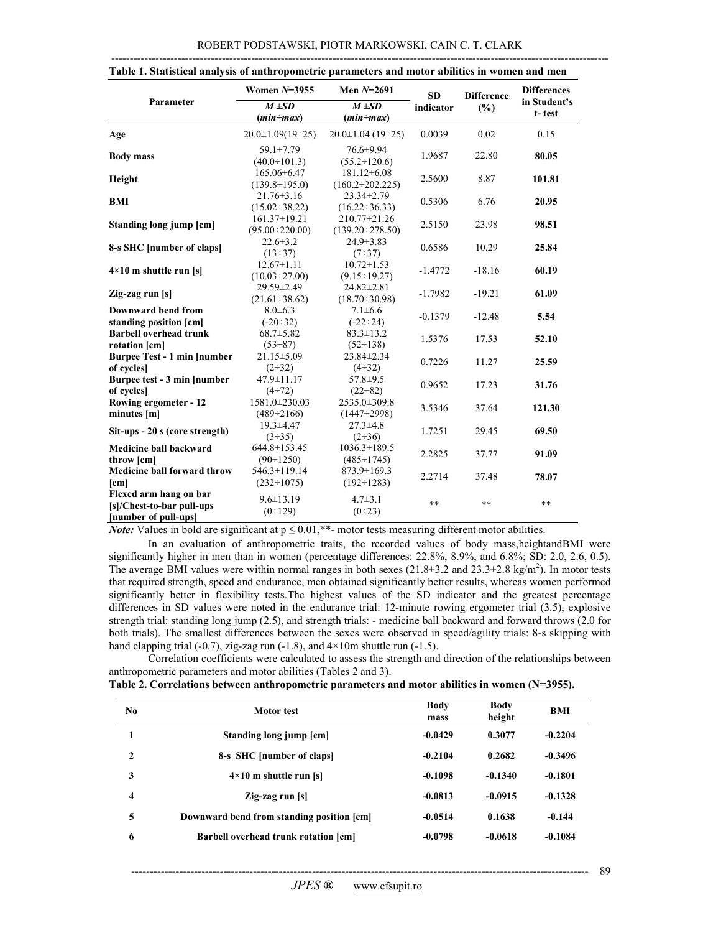|                                                                             | Women $N=3955$                              | Men $N=2691$                            | <b>SD</b> | <b>Difference</b> | <b>Differences</b>     |  |
|-----------------------------------------------------------------------------|---------------------------------------------|-----------------------------------------|-----------|-------------------|------------------------|--|
| Parameter                                                                   | $M \pm SD$<br>$(min - max)$                 | $M \pm SD$<br>$(min - max)$             | indicator | $(\%)$            | in Student's<br>t-test |  |
| Age                                                                         | $20.0 \pm 1.09(19 \div 25)$                 | $20.0 \pm 1.04$ (19÷25)                 | 0.0039    | 0.02              | 0.15                   |  |
| <b>Body mass</b>                                                            | 59.1±7.79<br>$(40.0 \div 101.3)$            | 76.6±9.94<br>$(55.2 \div 120.6)$        | 1.9687    | 22.80             | 80.05                  |  |
| Height                                                                      | 165.06±6.47<br>$(139.8 \div 195.0)$         | 181.12±6.08<br>$(160.2 \div 202.225)$   | 2.5600    | 8.87              | 101.81                 |  |
| <b>BMI</b>                                                                  | $21.76 \pm 3.16$<br>$(15.02 \div 38.22)$    | $23.34 \pm 2.79$<br>$(16.22 - 36.33)$   | 0.5306    | 6.76              | 20.95                  |  |
| Standing long jump [cm]                                                     | $161.37 \pm 19.21$<br>$(95.00 \div 220.00)$ | 210.77±21.26<br>$(139.20 \div 278.50)$  | 2.5150    | 23.98             | 98.51                  |  |
| 8-s SHC [number of claps]                                                   | $22.6 \pm 3.2$<br>$(13 \div 37)$            | $24.9 \pm 3.83$<br>$(7\div 37)$         | 0.6586    | 10.29             | 25.84                  |  |
| $4 \times 10$ m shuttle run [s]                                             | $12.67 \pm 1.11$<br>$(10.03 \div 27.00)$    | $10.72 \pm 1.53$<br>$(9.15 \div 19.27)$ | $-1.4772$ | $-18.16$          | 60.19                  |  |
| Zig-zag run [s]                                                             | 29.59±2.49<br>$(21.61 \div 38.62)$          | 24.82±2.81<br>$(18.70 \div 30.98)$      | $-1.7982$ | $-19.21$          | 61.09                  |  |
| <b>Downward bend from</b><br>standing position [cm]                         | $8.0 \pm 6.3$<br>$(-20 \div 32)$            | $7.1 \pm 6.6$<br>$(-22 \div 24)$        | $-0.1379$ | $-12.48$          | 5.54                   |  |
| <b>Barbell overhead trunk</b><br>rotation [cm]                              | $68.7 \pm 5.82$<br>$(53\div 87)$            | $83.3 \pm 13.2$<br>$(52 \div 138)$      | 1.5376    | 17.53             | 52.10                  |  |
| <b>Burpee Test - 1 min [number</b><br>of cycles]                            | $21.15 \pm 5.09$<br>$(2-32)$                | 23.84±2.34<br>$(4\div 32)$              | 0.7226    | 11.27             | 25.59                  |  |
| Burpee test - 3 min [number]<br>of cycles]                                  | 47.9±11.17<br>$(4 + 72)$                    | $57.8 \pm 9.5$<br>$(22+82)$             | 0.9652    | 17.23             | 31.76                  |  |
| Rowing ergometer - 12<br>minutes [m]                                        | 1581.0±230.03<br>$(489 \div 2166)$          | 2535.0±309.8<br>$(1447 \div 2998)$      | 3.5346    | 37.64             | 121.30                 |  |
| Sit-ups - 20 s (core strength)                                              | $19.3 + 4.47$<br>$(3-35)$                   | $27.3 \pm 4.8$<br>$(2\div 36)$          | 1.7251    | 29.45             | 69.50                  |  |
| Medicine ball backward<br>throw [cm]                                        | 644.8±153.45<br>$(90 \div 1250)$            | $1036.3 \pm 189.5$<br>$(485 \div 1745)$ | 2.2825    | 37.77             | 91.09                  |  |
| <b>Medicine ball forward throw</b><br>$[\text{cm}]$                         | 546.3±119.14<br>$(232 \div 1075)$           | $873.9 \pm 169.3$<br>$(192 \div 1283)$  | 2.2714    | 37.48             | 78.07                  |  |
| Flexed arm hang on bar<br>[s]/Chest-to-bar pull-ups<br>[number of pull-ups] | $9.6 \pm 13.19$<br>(0:129)                  | $4.7 \pm 3.1$<br>$(0+23)$               | **        | **                | $**$                   |  |

|  |  | Table 1. Statistical analysis of anthropometric parameters and motor abilities in women and men |  |
|--|--|-------------------------------------------------------------------------------------------------|--|
|  |  |                                                                                                 |  |

*Note:* Values in bold are significant at  $p \leq 0.01$ ,\*\*- motor tests measuring different motor abilities.

 In an evaluation of anthropometric traits, the recorded values of body mass,heightandBMI were significantly higher in men than in women (percentage differences: 22.8%, 8.9%, and 6.8%; SD: 2.0, 2.6, 0.5). The average BMI values were within normal ranges in both sexes  $(21.8\pm3.2 \text{ and } 23.3\pm2.8 \text{ kg/m}^2)$ . In motor tests that required strength, speed and endurance, men obtained significantly better results, whereas women performed significantly better in flexibility tests.The highest values of the SD indicator and the greatest percentage differences in SD values were noted in the endurance trial: 12-minute rowing ergometer trial (3.5), explosive strength trial: standing long jump (2.5), and strength trials: - medicine ball backward and forward throws (2.0 for both trials). The smallest differences between the sexes were observed in speed/agility trials: 8-s skipping with hand clapping trial  $(-0.7)$ , zig-zag run  $(-1.8)$ , and  $4 \times 10$ m shuttle run  $(-1.5)$ .

 Correlation coefficients were calculated to assess the strength and direction of the relationships between anthropometric parameters and motor abilities (Tables 2 and 3).

|  |  |  | Table 2. Correlations between anthropometric parameters and motor abilities in women (N=3955). |
|--|--|--|------------------------------------------------------------------------------------------------|
|--|--|--|------------------------------------------------------------------------------------------------|

| No | Motor test                                | <b>Body</b><br>mass | Body<br>height | <b>BMI</b> |
|----|-------------------------------------------|---------------------|----------------|------------|
|    | Standing long jump [cm]                   | $-0.0429$           | 0.3077         | $-0.2204$  |
| 2  | 8-s SHC [number of claps]                 | $-0.2104$           | 0.2682         | $-0.3496$  |
| 3  | $4\times10$ m shuttle run [s]             | $-0.1098$           | $-0.1340$      | $-0.1801$  |
| 4  | $\operatorname{Zig-zag}$ run [s]          | $-0.0813$           | $-0.0915$      | $-0.1328$  |
| 5  | Downward bend from standing position [cm] | $-0.0514$           | 0.1638         | $-0.144$   |
| 6  | Barbell overhead trunk rotation [cm]      | $-0.0798$           | $-0.0618$      | $-0.1084$  |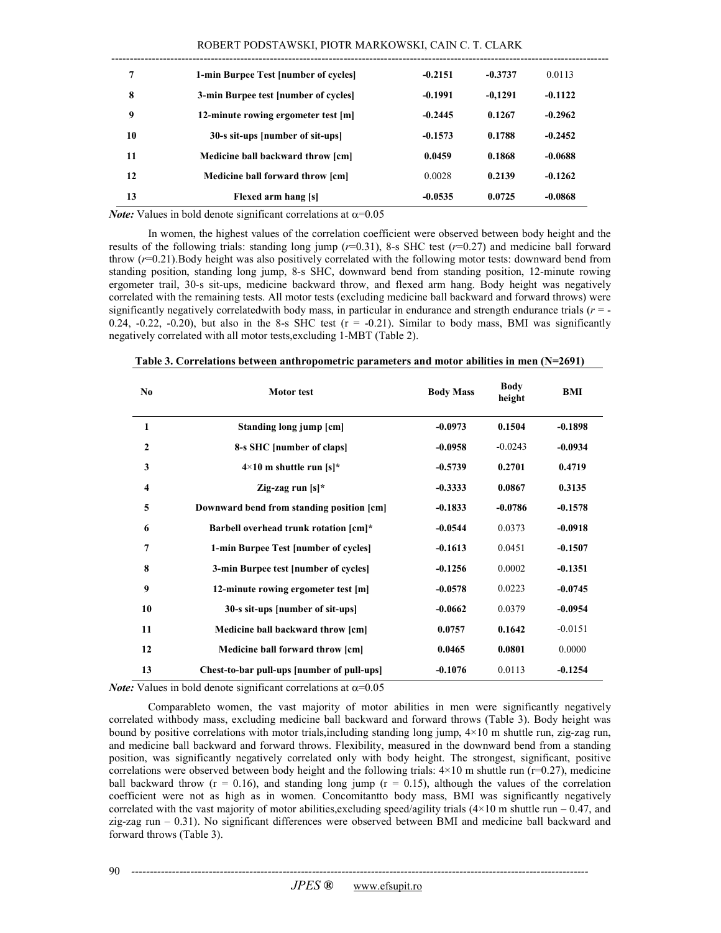| ROBERT PODSTAWSKI, PIOTR MARKOWSKI, CAIN C. T. CLARK |  |  |
|------------------------------------------------------|--|--|
|------------------------------------------------------|--|--|

| 7  | 1-min Burpee Test [number of cycles] | $-0.2151$ | $-0.3737$ | 0.0113    |
|----|--------------------------------------|-----------|-----------|-----------|
| 8  | 3-min Burpee test [number of cycles] | $-0.1991$ | $-0.1291$ | $-0.1122$ |
| 9  | 12-minute rowing ergometer test [m]  | $-0.2445$ | 0.1267    | $-0.2962$ |
| 10 | 30-s sit-ups [number of sit-ups]     | $-0.1573$ | 0.1788    | $-0.2452$ |
| 11 | Medicine ball backward throw [cm]    | 0.0459    | 0.1868    | $-0.0688$ |
| 12 | Medicine ball forward throw [cm]     | 0.0028    | 0.2139    | $-0.1262$ |
| 13 | Flexed arm hang [s]                  | $-0.0535$ | 0.0725    | $-0.0868$ |

*Note:* Values in bold denote significant correlations at  $\alpha$ =0.05

 In women, the highest values of the correlation coefficient were observed between body height and the results of the following trials: standing long jump (*r*=0.31), 8-s SHC test (*r*=0.27) and medicine ball forward throw (*r*=0.21).Body height was also positively correlated with the following motor tests: downward bend from standing position, standing long jump, 8-s SHC, downward bend from standing position, 12-minute rowing ergometer trail, 30-s sit-ups, medicine backward throw, and flexed arm hang. Body height was negatively correlated with the remaining tests. All motor tests (excluding medicine ball backward and forward throws) were significantly negatively correlatedwith body mass, in particular in endurance and strength endurance trials (*r* = -  $0.24$ ,  $-0.22$ ,  $-0.20$ ), but also in the 8-s SHC test ( $r = -0.21$ ). Similar to body mass, BMI was significantly negatively correlated with all motor tests,excluding 1-MBT (Table 2).

| N <sub>0</sub> | <b>Motor</b> test                          | <b>Body Mass</b> | <b>Body</b><br>height | <b>BMI</b> |
|----------------|--------------------------------------------|------------------|-----------------------|------------|
| $\mathbf{1}$   | Standing long jump [cm]                    | $-0.0973$        | 0.1504                | $-0.1898$  |
| $\overline{2}$ | 8-s SHC [number of claps]                  | $-0.0958$        | $-0.0243$             | $-0.0934$  |
| 3              | $4\times10$ m shuttle run [s]*             | $-0.5739$        | 0.2701                | 0.4719     |
| 4              | Zig-zag run $[s]^*$                        | $-0.3333$        | 0.0867                | 0.3135     |
| 5              | Downward bend from standing position [cm]  | $-0.1833$        | $-0.0786$             | $-0.1578$  |
| 6              | Barbell overhead trunk rotation [cm]*      | $-0.0544$        | 0.0373                | $-0.0918$  |
| 7              | 1-min Burpee Test [number of cycles]       | $-0.1613$        | 0.0451                | $-0.1507$  |
| 8              | 3-min Burpee test [number of cycles]       | $-0.1256$        | 0.0002                | $-0.1351$  |
| 9              | 12-minute rowing ergometer test [m]        | $-0.0578$        | 0.0223                | $-0.0745$  |
| 10             | 30-s sit-ups [number of sit-ups]           | $-0.0662$        | 0.0379                | $-0.0954$  |
| 11             | Medicine ball backward throw [cm]          | 0.0757           | 0.1642                | $-0.0151$  |
| 12             | Medicine ball forward throw [cm]           | 0.0465           | 0.0801                | 0.0000     |
| 13             | Chest-to-bar pull-ups [number of pull-ups] | $-0.1076$        | 0.0113                | $-0.1254$  |

| Table 3. Correlations between anthropometric parameters and motor abilities in men $(N=2691)$ |  |
|-----------------------------------------------------------------------------------------------|--|
|-----------------------------------------------------------------------------------------------|--|

*Note:* Values in bold denote significant correlations at  $\alpha$ =0.05

 Comparableto women, the vast majority of motor abilities in men were significantly negatively correlated withbody mass, excluding medicine ball backward and forward throws (Table 3). Body height was bound by positive correlations with motor trials,including standing long jump, 4×10 m shuttle run, zig-zag run, and medicine ball backward and forward throws. Flexibility, measured in the downward bend from a standing position, was significantly negatively correlated only with body height. The strongest, significant, positive correlations were observed between body height and the following trials: 4×10 m shuttle run (r=0.27), medicine ball backward throw  $(r = 0.16)$ , and standing long jump  $(r = 0.15)$ , although the values of the correlation coefficient were not as high as in women. Concomitantto body mass, BMI was significantly negatively correlated with the vast majority of motor abilities,excluding speed/agility trials (4×10 m shuttle run – 0.47, and zig-zag run – 0.31). No significant differences were observed between BMI and medicine ball backward and forward throws (Table 3).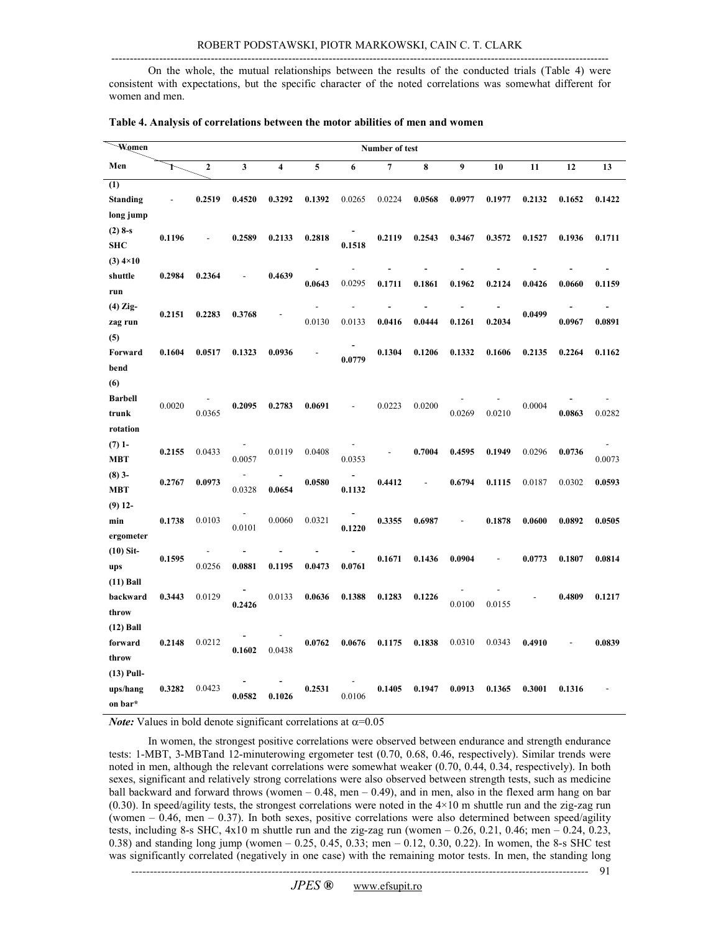---------------------------------------------------------------------------------------------------------------------------------------

 On the whole, the mutual relationships between the results of the conducted trials (Table 4) were consistent with expectations, but the specific character of the noted correlations was somewhat different for women and men.

| Women             |               |                |                          |                         |        |        | Number of test |        |        |        |        |        |                |
|-------------------|---------------|----------------|--------------------------|-------------------------|--------|--------|----------------|--------|--------|--------|--------|--------|----------------|
| Men               | Ť             | $\overline{2}$ | $\mathbf{3}$             | $\overline{\mathbf{4}}$ | 5      | 6      | $\overline{7}$ | 8      | 9      | 10     | 11     | 12     | 13             |
| (1)               |               |                |                          |                         |        |        |                |        |        |        |        |        |                |
| <b>Standing</b>   | $\frac{1}{2}$ | 0.2519         | 0.4520                   | 0.3292                  | 0.1392 | 0.0265 | 0.0224         | 0.0568 | 0.0977 | 0.1977 | 0.2132 | 0.1652 | 0.1422         |
| long jump         |               |                |                          |                         |        |        |                |        |        |        |        |        |                |
| $(2)$ 8-s         | 0.1196        |                | 0.2589                   | 0.2133                  | 0.2818 |        | 0.2119         | 0.2543 | 0.3467 | 0.3572 | 0.1527 | 0.1936 | 0.1711         |
| <b>SHC</b>        |               |                |                          |                         |        | 0.1518 |                |        |        |        |        |        |                |
| $(3)$ 4×10        |               |                |                          |                         |        |        |                |        |        |        |        |        |                |
| shuttle           | 0.2984        | 0.2364         | $\overline{\phantom{a}}$ | 0.4639                  | 0.0643 | 0.0295 | 0.1711         | 0.1861 | 0.1962 | 0.2124 | 0.0426 | 0.0660 | 0.1159         |
| run               |               |                |                          |                         |        |        |                |        |        |        |        |        |                |
| $(4)$ Zig-        | 0.2151        | 0.2283         | 0.3768                   |                         |        |        |                |        |        |        | 0.0499 |        | $\overline{a}$ |
| zag run           |               |                |                          |                         | 0.0130 | 0.0133 | 0.0416         | 0.0444 | 0.1261 | 0.2034 |        | 0.0967 | 0.0891         |
| (5)               |               |                |                          |                         |        |        |                |        |        |        |        |        |                |
| Forward           | 0.1604        | 0.0517         | 0.1323                   | 0.0936                  |        | 0.0779 | 0.1304         | 0.1206 | 0.1332 | 0.1606 | 0.2135 | 0.2264 | 0.1162         |
| bend              |               |                |                          |                         |        |        |                |        |        |        |        |        |                |
| (6)               |               |                |                          |                         |        |        |                |        |        |        |        |        |                |
| <b>Barbell</b>    | 0.0020        | 0.0365         | 0.2095                   | 0.2783                  | 0.0691 |        | 0.0223         | 0.0200 | 0.0269 |        | 0.0004 |        | 0.0282         |
| trunk<br>rotation |               |                |                          |                         |        |        |                |        |        | 0.0210 |        | 0.0863 |                |
| $(7)$ 1-          |               |                |                          |                         |        |        |                |        |        |        |        |        |                |
| <b>MBT</b>        | 0.2155        | 0.0433         | 0.0057                   | 0.0119                  | 0.0408 | 0.0353 |                | 0.7004 | 0.4595 | 0.1949 | 0.0296 | 0.0736 | 0.0073         |
| $(8)$ 3-          |               |                |                          |                         |        |        |                |        |        |        |        |        |                |
| <b>MBT</b>        | 0.2767        | 0.0973         | 0.0328                   | 0.0654                  | 0.0580 | 0.1132 | 0.4412         |        | 0.6794 | 0.1115 | 0.0187 | 0.0302 | 0.0593         |
| $(9)$ 12-         |               |                |                          |                         |        |        |                |        |        |        |        |        |                |
| min               | 0.1738        | 0.0103         |                          | 0.0060                  | 0.0321 |        | 0.3355         | 0.6987 |        | 0.1878 | 0.0600 | 0.0892 | 0.0505         |
| ergometer         |               |                | 0.0101                   |                         |        | 0.1220 |                |        |        |        |        |        |                |
| $(10)$ Sit-       |               |                |                          |                         |        |        |                |        |        |        |        |        |                |
| ups               | 0.1595        | 0.0256         | 0.0881                   | 0.1195                  | 0.0473 | 0.0761 | 0.1671         | 0.1436 | 0.0904 |        | 0.0773 | 0.1807 | 0.0814         |
| $(11)$ Ball       |               |                |                          |                         |        |        |                |        |        |        |        |        |                |
| backward          | 0.3443        | 0.0129         | 0.2426                   | 0.0133                  | 0.0636 | 0.1388 | 0.1283         | 0.1226 | 0.0100 | 0.0155 |        | 0.4809 | 0.1217         |
| throw             |               |                |                          |                         |        |        |                |        |        |        |        |        |                |
| $(12)$ Ball       |               |                |                          |                         |        |        |                |        |        |        |        |        |                |
| forward           | 0.2148        | 0.0212         | 0.1602                   | 0.0438                  | 0.0762 | 0.0676 | 0.1175         | 0.1838 | 0.0310 | 0.0343 | 0.4910 |        | 0.0839         |
| throw             |               |                |                          |                         |        |        |                |        |        |        |        |        |                |
| $(13)$ Pull-      |               |                |                          |                         |        |        |                |        |        |        |        |        |                |
| ups/hang          | 0.3282        | 0.0423         | 0.0582                   | 0.1026                  | 0.2531 | 0.0106 | 0.1405         | 0.1947 | 0.0913 | 0.1365 | 0.3001 | 0.1316 |                |
| on bar*           |               |                |                          |                         |        |        |                |        |        |        |        |        |                |

|  | Table 4. Analysis of correlations between the motor abilities of men and women |  |  |  |
|--|--------------------------------------------------------------------------------|--|--|--|
|  |                                                                                |  |  |  |

*Note:* Values in bold denote significant correlations at  $\alpha$ =0.05

 In women, the strongest positive correlations were observed between endurance and strength endurance tests: 1-MBT, 3-MBTand 12-minuterowing ergometer test (0.70, 0.68, 0.46, respectively). Similar trends were noted in men, although the relevant correlations were somewhat weaker (0.70, 0.44, 0.34, respectively). In both sexes, significant and relatively strong correlations were also observed between strength tests, such as medicine ball backward and forward throws (women – 0.48, men – 0.49), and in men, also in the flexed arm hang on bar  $(0.30)$ . In speed/agility tests, the strongest correlations were noted in the  $4\times10$  m shuttle run and the zig-zag run (women – 0.46, men – 0.37). In both sexes, positive correlations were also determined between speed/agility tests, including 8-s SHC, 4x10 m shuttle run and the zig-zag run (women – 0.26, 0.21, 0.46; men – 0.24, 0.23, 0.38) and standing long jump (women – 0.25, 0.45, 0.33; men – 0.12, 0.30, 0.22). In women, the 8-s SHC test was significantly correlated (negatively in one case) with the remaining motor tests. In men, the standing long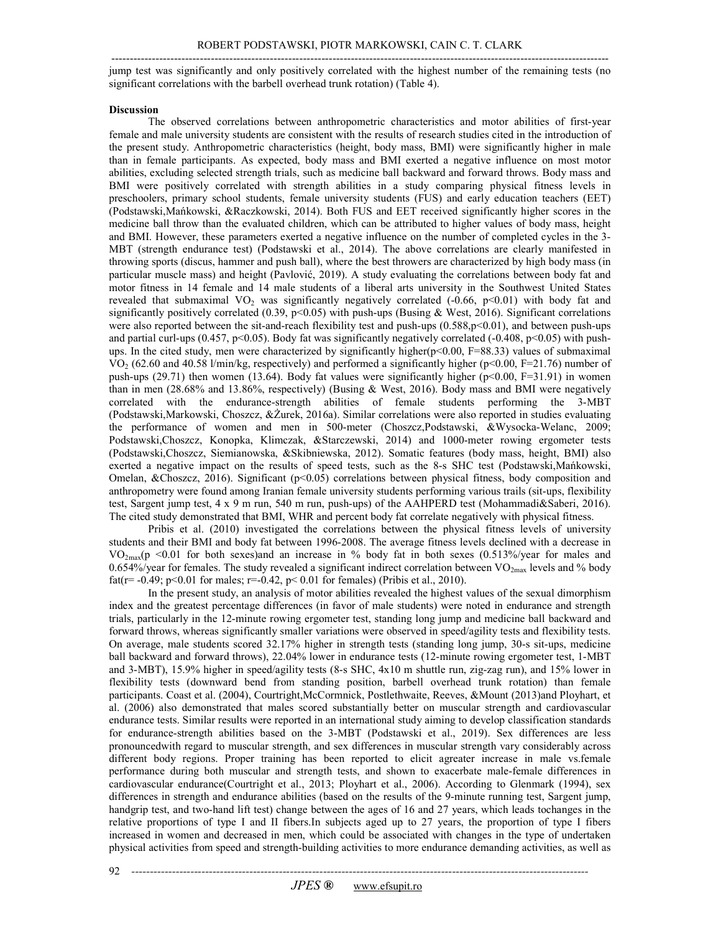---------------------------------------------------------------------------------------------------------------------------------------

 jump test was significantly and only positively correlated with the highest number of the remaining tests (no significant correlations with the barbell overhead trunk rotation) (Table 4).

#### **Discussion**

 The observed correlations between anthropometric characteristics and motor abilities of first-year female and male university students are consistent with the results of research studies cited in the introduction of the present study. Anthropometric characteristics (height, body mass, BMI) were significantly higher in male than in female participants. As expected, body mass and BMI exerted a negative influence on most motor abilities, excluding selected strength trials, such as medicine ball backward and forward throws. Body mass and BMI were positively correlated with strength abilities in a study comparing physical fitness levels in preschoolers, primary school students, female university students (FUS) and early education teachers (EET) (Podstawski,Mańkowski, &Raczkowski, 2014). Both FUS and EET received significantly higher scores in the medicine ball throw than the evaluated children, which can be attributed to higher values of body mass, height and BMI. However, these parameters exerted a negative influence on the number of completed cycles in the 3- MBT (strength endurance test) (Podstawski et al., 2014). The above correlations are clearly manifested in throwing sports (discus, hammer and push ball), where the best throwers are characterized by high body mass (in particular muscle mass) and height (Pavlović, 2019). A study evaluating the correlations between body fat and motor fitness in 14 female and 14 male students of a liberal arts university in the Southwest United States revealed that submaximal  $VO_2$  was significantly negatively correlated (-0.66, p<0.01) with body fat and significantly positively correlated (0.39, p<0.05) with push-ups (Busing & West, 2016). Significant correlations were also reported between the sit-and-reach flexibility test and push-ups (0.588,p<0.01), and between push-ups and partial curl-ups (0.457, p<0.05). Body fat was significantly negatively correlated (-0.408, p<0.05) with push- ups. In the cited study, men were characterized by significantly higher(p<0.00, F=88.33) values of submaximal  $VO<sub>2</sub>$  (62.60 and 40.58 l/min/kg, respectively) and performed a significantly higher (p<0.00, F=21.76) number of push-ups (29.71) then women (13.64). Body fat values were significantly higher (p<0.00, F=31.91) in women than in men (28.68% and 13.86%, respectively) (Busing & West, 2016). Body mass and BMI were negatively correlated with the endurance-strength abilities of female students performing the 3-MBT (Podstawski,Markowski, Choszcz, &Żurek, 2016a). Similar correlations were also reported in studies evaluating the performance of women and men in 500-meter (Choszcz,Podstawski, &Wysocka-Welanc, 2009; Podstawski,Choszcz, Konopka, Klimczak, &Starczewski, 2014) and 1000-meter rowing ergometer tests (Podstawski,Choszcz, Siemianowska, &Skibniewska, 2012). Somatic features (body mass, height, BMI) also exerted a negative impact on the results of speed tests, such as the 8-s SHC test (Podstawski,Mańkowski, Omelan, &Choszcz, 2016). Significant (p<0.05) correlations between physical fitness, body composition and anthropometry were found among Iranian female university students performing various trails (sit-ups, flexibility test, Sargent jump test, 4 x 9 m run, 540 m run, push-ups) of the AAHPERD test (Mohammadi&Saberi, 2016). The cited study demonstrated that BMI, WHR and percent body fat correlate negatively with physical fitness.

 Pribis et al. (2010) investigated the correlations between the physical fitness levels of university students and their BMI and body fat between 1996-2008. The average fitness levels declined with a decrease in  $VO_{2max}(p \leq 0.01)$  for both sexes)and an increase in % body fat in both sexes (0.513%/year for males and 0.654%/year for females. The study revealed a significant indirect correlation between VO<sub>2max</sub> levels and % body fat(r= -0.49; p<0.01 for males; r=-0.42, p< 0.01 for females) (Pribis et al., 2010).

 In the present study, an analysis of motor abilities revealed the highest values of the sexual dimorphism index and the greatest percentage differences (in favor of male students) were noted in endurance and strength trials, particularly in the 12-minute rowing ergometer test, standing long jump and medicine ball backward and forward throws, whereas significantly smaller variations were observed in speed/agility tests and flexibility tests. On average, male students scored 32.17% higher in strength tests (standing long jump, 30-s sit-ups, medicine ball backward and forward throws), 22.04% lower in endurance tests (12-minute rowing ergometer test, 1-MBT and 3-MBT), 15.9% higher in speed/agility tests (8-s SHC, 4x10 m shuttle run, zig-zag run), and 15% lower in flexibility tests (downward bend from standing position, barbell overhead trunk rotation) than female participants. Coast et al. (2004), Courtright,McCormnick, Postlethwaite, Reeves, &Mount (2013)and Ployhart, et al. (2006) also demonstrated that males scored substantially better on muscular strength and cardiovascular endurance tests. Similar results were reported in an international study aiming to develop classification standards for endurance-strength abilities based on the 3-MBT (Podstawski et al., 2019). Sex differences are less pronouncedwith regard to muscular strength, and sex differences in muscular strength vary considerably across different body regions. Proper training has been reported to elicit agreater increase in male vs.female performance during both muscular and strength tests, and shown to exacerbate male-female differences in cardiovascular endurance(Courtright et al., 2013; Ployhart et al., 2006). According to Glenmark (1994), sex differences in strength and endurance abilities (based on the results of the 9-minute running test, Sargent jump, handgrip test, and two-hand lift test) change between the ages of 16 and 27 years, which leads tochanges in the relative proportions of type I and II fibers.In subjects aged up to 27 years, the proportion of type I fibers increased in women and decreased in men, which could be associated with changes in the type of undertaken physical activities from speed and strength-building activities to more endurance demanding activities, as well as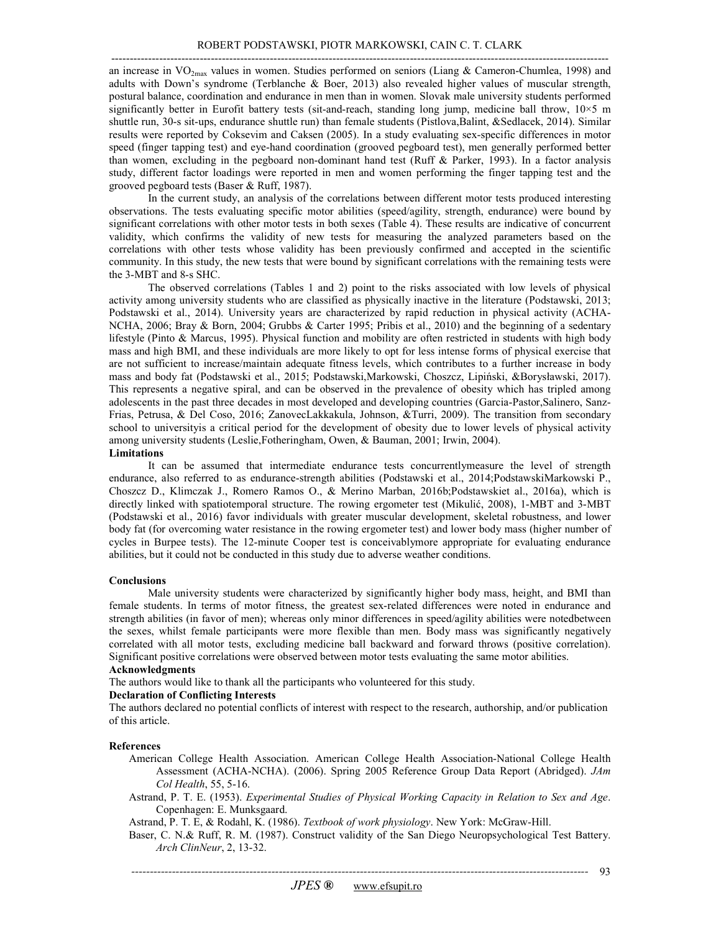an increase in  $VO_{2max}$  values in women. Studies performed on seniors (Liang & Cameron-Chumlea, 1998) and adults with Down's syndrome (Terblanche & Boer, 2013) also revealed higher values of muscular strength, postural balance, coordination and endurance in men than in women. Slovak male university students performed significantly better in Eurofit battery tests (sit-and-reach, standing long jump, medicine ball throw, 10×5 m shuttle run, 30-s sit-ups, endurance shuttle run) than female students (Pistlova,Balint, &Sedlacek, 2014). Similar results were reported by Coksevim and Caksen (2005). In a study evaluating sex-specific differences in motor speed (finger tapping test) and eye-hand coordination (grooved pegboard test), men generally performed better than women, excluding in the pegboard non-dominant hand test (Ruff & Parker, 1993). In a factor analysis study, different factor loadings were reported in men and women performing the finger tapping test and the grooved pegboard tests (Baser & Ruff, 1987).

 In the current study, an analysis of the correlations between different motor tests produced interesting observations. The tests evaluating specific motor abilities (speed/agility, strength, endurance) were bound by significant correlations with other motor tests in both sexes (Table 4). These results are indicative of concurrent validity, which confirms the validity of new tests for measuring the analyzed parameters based on the correlations with other tests whose validity has been previously confirmed and accepted in the scientific community. In this study, the new tests that were bound by significant correlations with the remaining tests were the 3-MBT and 8-s SHC.

 The observed correlations (Tables 1 and 2) point to the risks associated with low levels of physical activity among university students who are classified as physically inactive in the literature (Podstawski, 2013; Podstawski et al., 2014). University years are characterized by rapid reduction in physical activity (ACHA- NCHA, 2006; Bray & Born, 2004; Grubbs & Carter 1995; Pribis et al., 2010) and the beginning of a sedentary lifestyle (Pinto & Marcus, 1995). Physical function and mobility are often restricted in students with high body mass and high BMI, and these individuals are more likely to opt for less intense forms of physical exercise that are not sufficient to increase/maintain adequate fitness levels, which contributes to a further increase in body mass and body fat (Podstawski et al., 2015; Podstawski,Markowski, Choszcz, Lipiński, &Borysławski, 2017). This represents a negative spiral, and can be observed in the prevalence of obesity which has tripled among adolescents in the past three decades in most developed and developing countries (Garcia-Pastor,Salinero, Sanz- Frias, Petrusa, & Del Coso, 2016; ZanovecLakkakula, Johnson, &Turri, 2009). The transition from secondary school to universityis a critical period for the development of obesity due to lower levels of physical activity among university students (Leslie,Fotheringham, Owen, & Bauman, 2001; Irwin, 2004).

**Limitations** 

 It can be assumed that intermediate endurance tests concurrentlymeasure the level of strength endurance, also referred to as endurance-strength abilities (Podstawski et al., 2014;PodstawskiMarkowski P., Choszcz D., Klimczak J., Romero Ramos O., & Merino Marban, 2016b;Podstawskiet al., 2016a), which is directly linked with spatiotemporal structure. The rowing ergometer test (Mikulić, 2008), 1-MBT and 3-MBT (Podstawski et al., 2016) favor individuals with greater muscular development, skeletal robustness, and lower body fat (for overcoming water resistance in the rowing ergometer test) and lower body mass (higher number of cycles in Burpee tests). The 12-minute Cooper test is conceivablymore appropriate for evaluating endurance abilities, but it could not be conducted in this study due to adverse weather conditions.

#### **Conclusions**

 Male university students were characterized by significantly higher body mass, height, and BMI than female students. In terms of motor fitness, the greatest sex-related differences were noted in endurance and strength abilities (in favor of men); whereas only minor differences in speed/agility abilities were notedbetween the sexes, whilst female participants were more flexible than men. Body mass was significantly negatively correlated with all motor tests, excluding medicine ball backward and forward throws (positive correlation). Significant positive correlations were observed between motor tests evaluating the same motor abilities.

#### **Acknowledgments**

The authors would like to thank all the participants who volunteered for this study.

#### **Declaration of Conflicting Interests**

 The authors declared no potential conflicts of interest with respect to the research, authorship, and/or publication of this article.

#### **References**

- American College Health Association. American College Health Association-National College Health Assessment (ACHA-NCHA). (2006). Spring 2005 Reference Group Data Report (Abridged). *JAm Col Health*, 55, 5-16.
- Astrand, P. T. E. (1953). *Experimental Studies of Physical Working Capacity in Relation to Sex and Age*. Copenhagen: E. Munksgaard.
- Astrand, P. T. E, & Rodahl, K. (1986). *Textbook of work physiology*. New York: McGraw-Hill.
- Baser, C. N.& Ruff, R. M. (1987). Construct validity of the San Diego Neuropsychological Test Battery. *Arch ClinNeur*, 2, 13-32.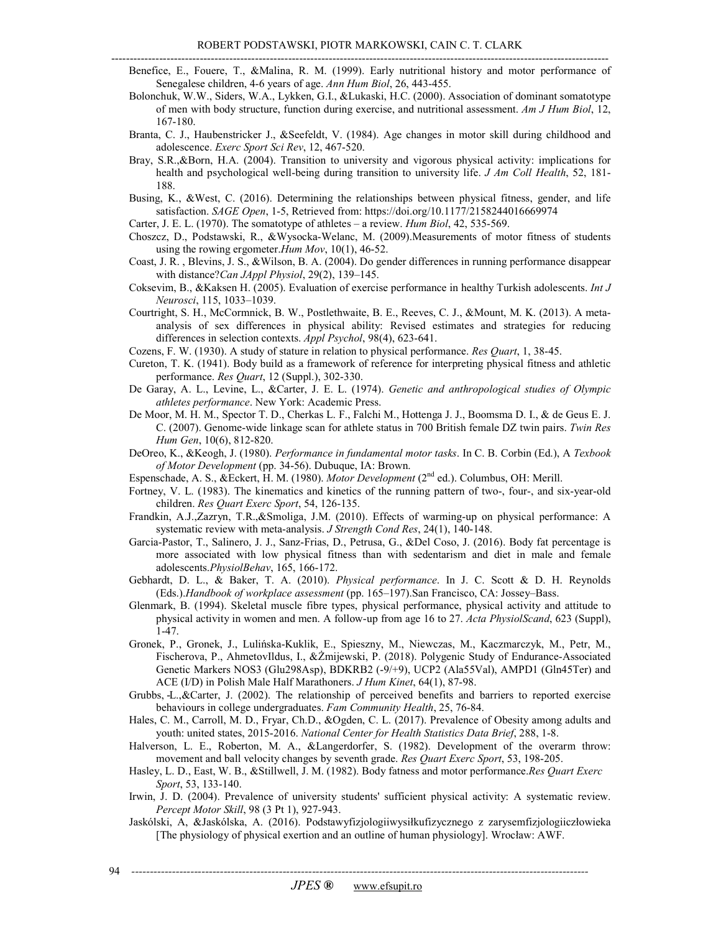- Benefice, E., Fouere, T., &Malina, R. M. (1999). Early nutritional history and motor performance of Senegalese children, 4-6 years of age. *Ann Hum Biol*, 26, 443-455.
	- Bolonchuk, W.W., Siders, W.A., Lykken, G.I., &Lukaski, H.C. (2000). Association of dominant somatotype of men with body structure, function during exercise, and nutritional assessment. *Am J Hum Biol*, 12, 167-180.
	- Branta, C. J., Haubenstricker J., &Seefeldt, V. (1984). Age changes in motor skill during childhood and  adolescence. *Exerc Sport Sci Rev*, 12, 467-520.
	- Bray, S.R.,&Born, H.A. (2004). Transition to university and vigorous physical activity: implications for health and psychological well-being during transition to university life. *J Am Coll Health*, 52, 181- 188.
	- Busing, K., &West, C. (2016). Determining the relationships between physical fitness, gender, and life satisfaction. *SAGE Open*, 1-5, Retrieved from: https://doi.org/10.1177/2158244016669974
	- Carter, J. E. L. (1970). The somatotype of athletes a review. *Hum Biol*, 42, 535-569.
	- Choszcz, D., Podstawski, R., &Wysocka-Welanc, M. (2009).Measurements of motor fitness of students using the rowing ergometer.*Hum Mov*, 10(1), 46-52.
	- Coast, J. R. , Blevins, J. S., &Wilson, B. A. (2004). Do gender differences in running performance disappear  with distance?*Can JAppl Physiol*, 29(2), 139–145.
	- Coksevim, B., &Kaksen H. (2005). Evaluation of exercise performance in healthy Turkish adolescents. *Int J Neurosci*, 115, 1033–1039.
	- Courtright, S. H., McCormnick, B. W., Postlethwaite, B. E., Reeves, C. J., &Mount, M. K. (2013). A meta- analysis of sex differences in physical ability: Revised estimates and strategies for reducing differences in selection contexts. *Appl Psychol*, 98(4), 623-641.
	- Cozens, F. W. (1930). A study of stature in relation to physical performance. *Res Quart*, 1, 38-45.
	- Cureton, T. K. (1941). Body build as a framework of reference for interpreting physical fitness and athletic performance. *Res Quart*, 12 (Suppl.), 302-330.
	- De Garay, A. L., Levine, L., &Carter, J. E. L. (1974). *Genetic and anthropological studies of Olympic athletes performance*. New York: Academic Press.
	- De Moor, M. H. M., Spector T. D., Cherkas L. F., Falchi M., Hottenga J. J., Boomsma D. I., & de Geus E. J. C. (2007). Genome-wide linkage scan for athlete status in 700 British female DZ twin pairs. *Twin Res Hum Gen*, 10(6), 812-820.
	- DeOreo, K., &Keogh, J. (1980). *Performance in fundamental motor tasks*. In C. B. Corbin (Ed.), A *Texbook of Motor Development* (pp. 34-56). Dubuque, IA: Brown.
	- Espenschade, A. S., &Eckert, H. M. (1980). *Motor Development* (2nd ed.). Columbus, OH: Merill.
	- Fortney, V. L. (1983). The kinematics and kinetics of the running pattern of two-, four-, and six-year-old  children. *Res Quart Exerc Sport*, 54, 126-135.
	- Frandkin, A.J.,Zazryn, T.R.,&Smoliga, J.M. (2010). Effects of warming-up on physical performance: A systematic review with meta-analysis. *J Strength Cond Res*, 24(1), 140-148.
	- Garcia-Pastor, T., Salinero, J. J., Sanz-Frias, D., Petrusa, G., &Del Coso, J. (2016). Body fat percentage is more associated with low physical fitness than with sedentarism and diet in male and female adolescents.*PhysiolBehav*, 165, 166-172.
	- Gebhardt, D. L., & Baker, T. A. (2010). *Physical performance*. In J. C. Scott & D. H. Reynolds  (Eds.).*Handbook of workplace assessment* (pp. 165–197).San Francisco, CA: Jossey–Bass.
	- Glenmark, B. (1994). Skeletal muscle fibre types, physical performance, physical activity and attitude to physical activity in women and men. A follow-up from age 16 to 27. *Acta PhysiolScand*, 623 (Suppl), 1-47.
	- Gronek, P., Gronek, J., Lulińska-Kuklik, E., Spieszny, M., Niewczas, M., Kaczmarczyk, M., Petr, M., Fischerova, P., AhmetovIldus, I., &Żmijewski, P. (2018). Polygenic Study of Endurance-Associated Genetic Markers NOS3 (Glu298Asp), BDKRB2 (-9/+9), UCP2 (Ala55Val), AMPD1 (Gln45Ter) and ACE (I/D) in Polish Male Half Marathoners. *J Hum Kinet*, 64(1), 87-98.
	- Grubbs, -L.,&Carter, J. (2002). The relationship of perceived benefits and barriers to reported exercise behaviours in college undergraduates. *Fam Community Health*, 25, 76-84.
	- Hales, C. M., Carroll, M. D., Fryar, Ch.D., &Ogden, C. L. (2017). Prevalence of Obesity among adults and youth: united states, 2015-2016. *National Center for Health Statistics Data Brief*, 288, 1-8.
	- Halverson, L. E., Roberton, M. A., &Langerdorfer, S. (1982). Development of the overarm throw: movement and ball velocity changes by seventh grade. *Res Quart Exerc Sport*, 53, 198-205.
	- Hasley, L. D., East, W. B., &Stillwell, J. M. (1982). Body fatness and motor performance.*Res Quart Exerc Sport*, 53, 133-140.
	- Irwin, J. D. (2004). Prevalence of university students' sufficient physical activity: A systematic review.  *Percept Motor Skill*, 98 (3 Pt 1), 927-943.
	- Jaskólski, A, &Jaskólska, A. (2016). Podstawyfizjologiiwysiłkufizycznego z zarysemfizjologiiczłowieka [The physiology of physical exertion and an outline of human physiology]. Wrocław: AWF.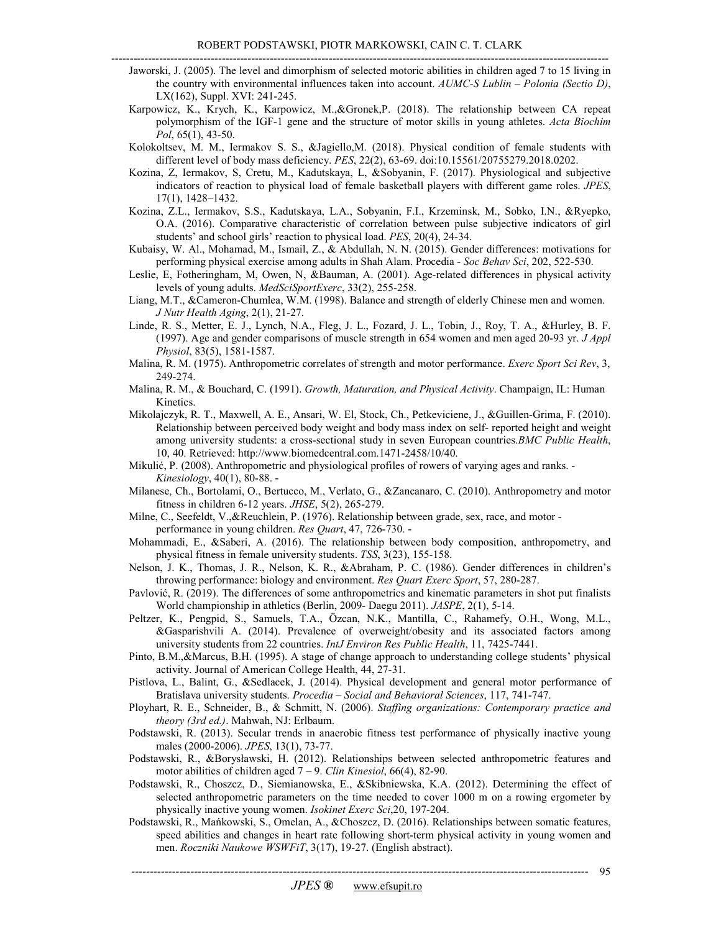- Jaworski, J. (2005). The level and dimorphism of selected motoric abilities in children aged 7 to 15 living in the country with environmental influences taken into account. *AUMC-S Lublin – Polonia (Sectio D)*, LX(162), Suppl. XVI: 241-245.
- Karpowicz, K., Krych, K., Karpowicz, M.,&Gronek,P. (2018). The relationship between CA repeat polymorphism of the IGF-1 gene and the structure of motor skills in young athletes. *Acta Biochim Pol*, 65(1), 43-50.
- Kolokoltsev, M. M., Iermakov S. S., &Jagiello,M. (2018). Physical condition of female students with different level of body mass deficiency. *PES*, 22(2), 63-69. doi:10.15561/20755279.2018.0202.
- Kozina, Z, Iermakov, S, Cretu, M., Kadutskaya, L, &Sobyanin, F. (2017). Physiological and subjective indicators of reaction to physical load of female basketball players with different game roles. *JPES*, 17(1), 1428–1432.
- Kozina, Z.L., Iermakov, S.S., Kadutskaya, L.A., Sobyanin, F.I., Krzeminsk, M., Sobko, I.N., &Ryepko, O.A. (2016). Comparative characteristic of correlation between pulse subjective indicators of girl students' and school girls' reaction to physical load. *PES*, 20(4), 24-34.
- Kubaisy, W. Al., Mohamad, M., Ismail, Z., & Abdullah, N. N. (2015). Gender differences: motivations for performing physical exercise among adults in Shah Alam. Procedia - *Soc Behav Sci*, 202, 522-530.
- Leslie, E, Fotheringham, M, Owen, N, &Bauman, A. (2001). Age-related differences in physical activity levels of young adults. *MedSciSportExerc*, 33(2), 255-258.
- Liang, M.T., &Cameron-Chumlea, W.M. (1998). Balance and strength of elderly Chinese men and women.  *J Nutr Health Aging*, 2(1), 21-27.
- Linde, R. S., Metter, E. J., Lynch, N.A., Fleg, J. L., Fozard, J. L., Tobin, J., Roy, T. A., &Hurley, B. F. (1997). Age and gender comparisons of muscle strength in 654 women and men aged 20-93 yr. *J Appl Physiol*, 83(5), 1581-1587.
- Malina, R. M. (1975). Anthropometric correlates of strength and motor performance. *Exerc Sport Sci Rev*, 3, 249-274.
- Malina, R. M., & Bouchard, C. (1991). *Growth, Maturation, and Physical Activity*. Champaign, IL: Human Kinetics.
- Mikolajczyk, R. T., Maxwell, A. E., Ansari, W. El, Stock, Ch., Petkeviciene, J., &Guillen-Grima, F. (2010). Relationship between perceived body weight and body mass index on self- reported height and weight among university students: a cross-sectional study in seven European countries.*BMC Public Health*, 10, 40. Retrieved: http://www.biomedcentral.com.1471-2458/10/40.
- Mikulić, P. (2008). Anthropometric and physiological profiles of rowers of varying ages and ranks. *Kinesiology*, 40(1), 80-88.
- Milanese, Ch., Bortolami, O., Bertucco, M., Verlato, G., &Zancanaro, C. (2010). Anthropometry and motor fitness in children 6-12 years. *JHSE*, 5(2), 265-279.
- Milne, C., Seefeldt, V.,&Reuchlein, P. (1976). Relationship between grade, sex, race, and motor performance in young children. *Res Quart*, 47, 726-730.
- Mohammadi, E., &Saberi, A. (2016). The relationship between body composition, anthropometry, and physical fitness in female university students. *TSS*, 3(23), 155-158.
- Nelson, J. K., Thomas, J. R., Nelson, K. R., &Abraham, P. C. (1986). Gender differences in children's throwing performance: biology and environment. *Res Quart Exerc Sport*, 57, 280-287.
- Pavlović, R. (2019). The differences of some anthropometrics and kinematic parameters in shot put finalists World championship in athletics (Berlin, 2009- Daegu 2011). *JASPE*, 2(1), 5-14.
- Peltzer, K., Pengpid, S., Samuels, T.A., Özcan, N.K., Mantilla, C., Rahamefy, O.H., Wong, M.L., &Gasparishvili A. (2014). Prevalence of overweight/obesity and its associated factors among university students from 22 countries. *IntJ Environ Res Public Health*, 11, 7425-7441.
- Pinto, B.M.,&Marcus, B.H. (1995). A stage of change approach to understanding college students' physical activity. Journal of American College Health, 44, 27-31.
- Pistlova, L., Balint, G., &Sedlacek, J. (2014). Physical development and general motor performance of Bratislava university students. *Procedia – Social and Behavioral Sciences*, 117, 741-747.
- Ployhart, R. E., Schneider, B., & Schmitt, N. (2006). *Staffing organizations: Contemporary practice and theory (3rd ed.)*. Mahwah, NJ: Erlbaum.
- Podstawski, R. (2013). Secular trends in anaerobic fitness test performance of physically inactive young males (2000-2006). *JPES*, 13(1), 73-77.
- Podstawski, R., &Borysławski, H. (2012). Relationships between selected anthropometric features and motor abilities of children aged 7 – 9. *Clin Kinesiol*, 66(4), 82-90.
- Podstawski, R., Choszcz, D., Siemianowska, E., &Skibniewska, K.A. (2012). Determining the effect of selected anthropometric parameters on the time needed to cover 1000 m on a rowing ergometer by physically inactive young women. *Isokinet Exerc Sci*,20, 197-204.
- Podstawski, R., Mańkowski, S., Omelan, A., &Choszcz, D. (2016). Relationships between somatic features, speed abilities and changes in heart rate following short-term physical activity in young women and  men. *Roczniki Naukowe WSWFiT*, 3(17), 19-27. (English abstract).